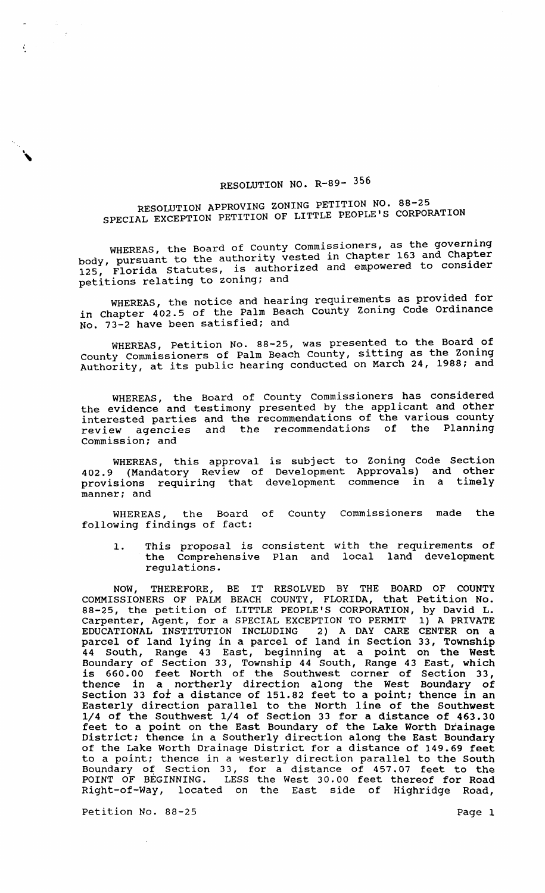## RESOLUTION NO. R-89- 356

## RESOLUTION APPROVING ZONING PETITION NO. 88-25 SPECIAL EXCEPTION PETITION OF LITTLE PEOPLE'S CORPORATION

WHEREAS, the Board of County Commissioners, as the governing minities, the bodid of climary vested in Chapter 163 and Chapter body, pursuant to the authority vested in Chapter body, pursuant to the duthority<br>125, Florida Statutes, is authorized and empowered to consider<br>petitions relating to zoning; and

WHEREAS, the notice and hearing requirements as provided for in Chapter 402.5 of the Palm Beach County Zoning Code Ordinance No. 73-2 have been satisfied; and

WHEREAS, Petition No. 88-25, was presented to the Board of WHEREAS, FECICION NOT 80 23, was presented as the Zoning Authority, at its public hearing conducted on March 24, 1988; and

WHEREAS, the Board of County Commissioners has considered the evidence and testimony presented by the applicant and other interested parties and the recommendations of the various county review agencies and the recommendations of the Planning commission; and

WHEREAS, this approval is subject to Zoning Code Section 402.9 (Mandatory Review of Development Approvals) and other provisions requiring that development commence in a timely manner; and

WHEREAS, the Board of County Commissioners made the following findings of fact:

1. This proposal is consistent with the requirements of the Comprehensive Plan and local land development regulations.

NOW, THEREFORE, BE IT RESOLVED BY THE BOARD OF COUNTY COMMISSIONERS OF PALM BEACH COUNTY, FLORIDA, that Petition No. 88-25, the petition of LITTLE PEOPLE'S CORPORATION, by David L. Carpenter, Agent, for a SPECIAL EXCEPTION TO PERMIT 1) A PRIVATE EDUCATIONAL INSTITUTION INCLUDING 2) A DAY CARE CENTER on a parcel of land lying in a parcel of land in section 33, Township 44 South, Range 43 East, beginning at a point on the West Boundary of section 33, Township 44 South, Range 43 East, which is 660.00 feet North of the Southwest corner of Section 33, thence in a northerly direction along the west Boundary of section 33 for a distance of 151.82 feet to a point; thence in an Easterly direction parallel to the North line of the Southwest 1/4 of the Southwest 1/4 of Section 33 for a distance of 463.30 feet to a point on the East Boundary of the Lake Worth Drainage District; thence in a Southerly direction along the East Boundary of the Lake Worth Drainage District for a distance of 149.69 feet to a point; thence in a westerly direction parallel to the South Boundary of section 33, for a distance of 457.07 feet to the POINT OF BEGINNING. LESS the West 30.00 feet thereof for Road Right-of-Way, located on the East side of Highridge Road,

Petition No. 88-25 Page 1

麦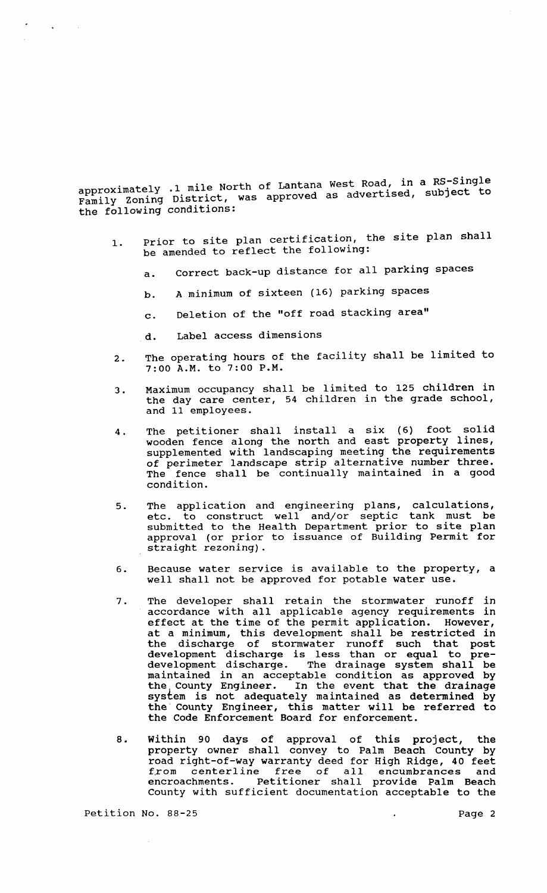approximately .1 mile North of Lantana West Road, in a RS-Single<br>approximately .1 mile North of Lantana westernticed subject to approximately .1 mile North of Lantana west Rodd, In a spontane to the following conditions:

- 1. Prior to site plan certification, the site plan shall be amended to reflect the following:
	- a. Correct back-up distance for all parking spaces
	- b. A minimum of sixteen (16) parking spaces
	- c. Deletion of the "off road stacking area"
	- d. Label access dimensions

 $\Delta$ 

- 2. The operating hours of the facility shall be limited to 7:00 A.M. to 7:00 P.M.
- 3. Maximum occupancy shall be limited to 125 children in the day care center, 54 children in the grade school, and 11 employees.
- 4. The petitioner shall install a six (6) foot solid wooden fence along the north and east property lines, supplemented with landscaping meeting the requirements of perimeter landscape strip alternative number three. The fence shall be continually maintained in a good condition.
- 5. The application and engineering plans, calculations, etc. to construct well and/or septic tank must be submitted to the Health Department prior to site plan approval (or prior to issuance of Building Permit for straight rezoning).
- 6. Because water service is available to the property, a well shall not be approved for potable water use.
- 7. The developer shall retain the stormwater runoff *in*  accordance with all applicable agency requirements in effect at the time of the permit application. However, at a minimum, this development shall be restricted in the discharge of stormwater runoff such that post development discharge is less than or equal to predevelopment discharge. The drainage system shall be development discharge. The drainage system shall be maintained in an acceptable condition as approved by the county Engineer. In the event that the drainage In the event that the drainage system is not adequately maintained as determined by by seem is not dacquastly maintained as accommined by<br>the County Engineer, this matter will be referred to the Code Enforcement Board for enforcement.
- 8. within 90 days of approval of this project, the property owner shall convey to Palm Beach County by road right-of-way warranty deed for High Ridge, 40 feet road right-or-way warranty deed for high kluge, 40 feet<br>from centerline free of all encumbrances and encroachments. Petitioner shall provide Palm Beach County with sufficient documentation acceptable to the

Petition No. 88-25 Page 2